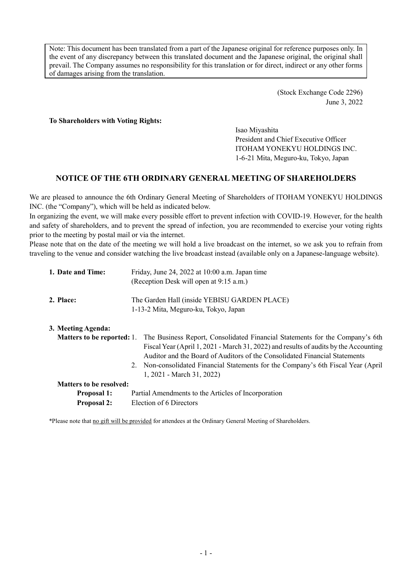Note: This document has been translated from a part of the Japanese original for reference purposes only. In the event of any discrepancy between this translated document and the Japanese original, the original shall prevail. The Company assumes no responsibility for this translation or for direct, indirect or any other forms of damages arising from the translation.

> (Stock Exchange Code 2296) June 3, 2022

**To Shareholders with Voting Rights:** 

Isao Miyashita President and Chief Executive Officer ITOHAM YONEKYU HOLDINGS INC. 1-6-21 Mita, Meguro-ku, Tokyo, Japan

# **NOTICE OF THE 6TH ORDINARY GENERAL MEETING OF SHAREHOLDERS**

We are pleased to announce the 6th Ordinary General Meeting of Shareholders of ITOHAM YONEKYU HOLDINGS INC. (the "Company"), which will be held as indicated below.

In organizing the event, we will make every possible effort to prevent infection with COVID-19. However, for the health and safety of shareholders, and to prevent the spread of infection, you are recommended to exercise your voting rights prior to the meeting by postal mail or via the internet.

Please note that on the date of the meeting we will hold a live broadcast on the internet, so we ask you to refrain from traveling to the venue and consider watching the live broadcast instead (available only on a Japanese-language website).

| 1. Date and Time:              | Friday, June 24, 2022 at 10:00 a.m. Japan time<br>(Reception Desk will open at 9:15 a.m.)                                                                                                                                                                                                                                                                           |  |  |  |  |  |
|--------------------------------|---------------------------------------------------------------------------------------------------------------------------------------------------------------------------------------------------------------------------------------------------------------------------------------------------------------------------------------------------------------------|--|--|--|--|--|
| 2. Place:                      | The Garden Hall (inside YEBISU GARDEN PLACE)<br>1-13-2 Mita, Meguro-ku, Tokyo, Japan                                                                                                                                                                                                                                                                                |  |  |  |  |  |
| 3. Meeting Agenda:             | Matters to be reported: 1. The Business Report, Consolidated Financial Statements for the Company's 6th<br>Fiscal Year (April 1, 2021 - March 31, 2022) and results of audits by the Accounting<br>Auditor and the Board of Auditors of the Consolidated Financial Statements<br>2. Non-consolidated Financial Statements for the Company's 6th Fiscal Year (April) |  |  |  |  |  |
| <b>Matters to be resolved:</b> | 1, 2021 - March 31, 2022)                                                                                                                                                                                                                                                                                                                                           |  |  |  |  |  |
|                                |                                                                                                                                                                                                                                                                                                                                                                     |  |  |  |  |  |
| <b>Proposal 1:</b>             | Partial Amendments to the Articles of Incorporation                                                                                                                                                                                                                                                                                                                 |  |  |  |  |  |
| <b>Proposal 2:</b>             | Election of 6 Directors                                                                                                                                                                                                                                                                                                                                             |  |  |  |  |  |

\*Please note that no gift will be provided for attendees at the Ordinary General Meeting of Shareholders.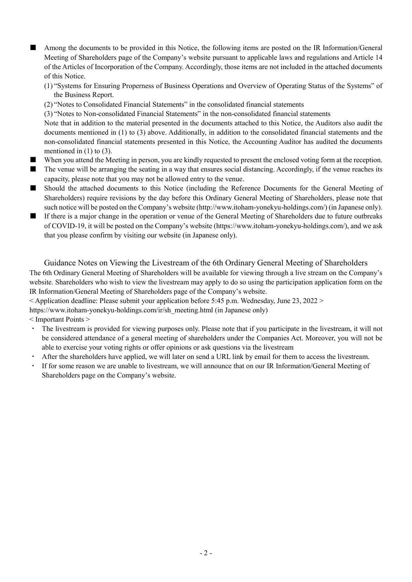- Among the documents to be provided in this Notice, the following items are posted on the IR Information/General Meeting of Shareholders page of the Company's website pursuant to applicable laws and regulations and Article 14 of the Articles of Incorporation of the Company. Accordingly, those items are not included in the attached documents of this Notice.
	- (1) "Systems for Ensuring Properness of Business Operations and Overview of Operating Status of the Systems" of the Business Report.
	- (2) "Notes to Consolidated Financial Statements" in the consolidated financial statements

(3) "Notes to Non-consolidated Financial Statements" in the non-consolidated financial statements

Note that in addition to the material presented in the documents attached to this Notice, the Auditors also audit the documents mentioned in (1) to (3) above. Additionally, in addition to the consolidated financial statements and the non-consolidated financial statements presented in this Notice, the Accounting Auditor has audited the documents mentioned in  $(1)$  to  $(3)$ .

- When you attend the Meeting in person, you are kindly requested to present the enclosed voting form at the reception.
- The venue will be arranging the seating in a way that ensures social distancing. Accordingly, if the venue reaches its capacity, please note that you may not be allowed entry to the venue.
- Should the attached documents to this Notice (including the Reference Documents for the General Meeting of Shareholders) require revisions by the day before this Ordinary General Meeting of Shareholders, please note that such notice will be posted on the Company's website (http://www.itoham-yonekyu-holdings.com/) (in Japanese only).
- If there is a major change in the operation or venue of the General Meeting of Shareholders due to future outbreaks of COVID-19, it will be posted on the Company's website (https://www.itoham-yonekyu-holdings.com/), and we ask that you please confirm by visiting our website (in Japanese only).

Guidance Notes on Viewing the Livestream of the 6th Ordinary General Meeting of Shareholders The 6th Ordinary General Meeting of Shareholders will be available for viewing through a live stream on the Company's website. Shareholders who wish to view the livestream may apply to do so using the participation application form on the IR Information/General Meeting of Shareholders page of the Company's website.

 $\leq$  Application deadline: Please submit your application before 5:45 p.m. Wednesday, June 23, 2022  $\geq$ 

https://www.itoham-yonekyu-holdings.com/ir/sh\_meeting.html (in Japanese only)

< Important Points >

- The livestream is provided for viewing purposes only. Please note that if you participate in the livestream, it will not be considered attendance of a general meeting of shareholders under the Companies Act. Moreover, you will not be able to exercise your voting rights or offer opinions or ask questions via the livestream
- After the shareholders have applied, we will later on send a URL link by email for them to access the livestream.
- If for some reason we are unable to livestream, we will announce that on our IR Information/General Meeting of Shareholders page on the Company's website.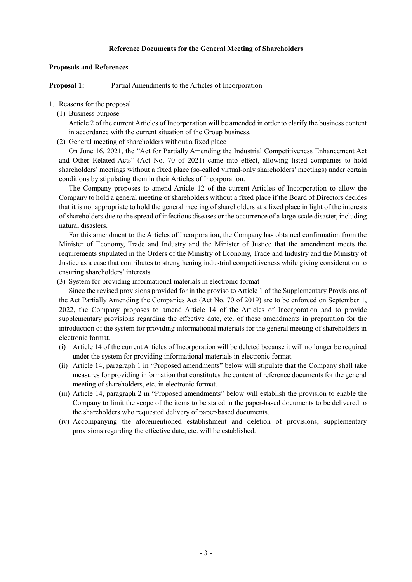#### **Reference Documents for the General Meeting of Shareholders**

#### **Proposals and References**

**Proposal 1:** Partial Amendments to the Articles of Incorporation

#### 1. Reasons for the proposal

(1) Business purpose

Article 2 of the current Articles of Incorporation will be amended in order to clarify the business content in accordance with the current situation of the Group business.

(2) General meeting of shareholders without a fixed place

On June 16, 2021, the "Act for Partially Amending the Industrial Competitiveness Enhancement Act and Other Related Acts" (Act No. 70 of 2021) came into effect, allowing listed companies to hold shareholders' meetings without a fixed place (so-called virtual-only shareholders' meetings) under certain conditions by stipulating them in their Articles of Incorporation.

The Company proposes to amend Article 12 of the current Articles of Incorporation to allow the Company to hold a general meeting of shareholders without a fixed place if the Board of Directors decides that it is not appropriate to hold the general meeting of shareholders at a fixed place in light of the interests of shareholders due to the spread of infectious diseases or the occurrence of a large-scale disaster, including natural disasters.

For this amendment to the Articles of Incorporation, the Company has obtained confirmation from the Minister of Economy, Trade and Industry and the Minister of Justice that the amendment meets the requirements stipulated in the Orders of the Ministry of Economy, Trade and Industry and the Ministry of Justice as a case that contributes to strengthening industrial competitiveness while giving consideration to ensuring shareholders' interests.

(3) System for providing informational materials in electronic format

Since the revised provisions provided for in the proviso to Article 1 of the Supplementary Provisions of the Act Partially Amending the Companies Act (Act No. 70 of 2019) are to be enforced on September 1, 2022, the Company proposes to amend Article 14 of the Articles of Incorporation and to provide supplementary provisions regarding the effective date, etc. of these amendments in preparation for the introduction of the system for providing informational materials for the general meeting of shareholders in electronic format.

- (i) Article 14 of the current Articles of Incorporation will be deleted because it will no longer be required under the system for providing informational materials in electronic format.
- (ii) Article 14, paragraph 1 in "Proposed amendments" below will stipulate that the Company shall take measures for providing information that constitutes the content of reference documents for the general meeting of shareholders, etc. in electronic format.
- (iii) Article 14, paragraph 2 in "Proposed amendments" below will establish the provision to enable the Company to limit the scope of the items to be stated in the paper-based documents to be delivered to the shareholders who requested delivery of paper-based documents.
- (iv) Accompanying the aforementioned establishment and deletion of provisions, supplementary provisions regarding the effective date, etc. will be established.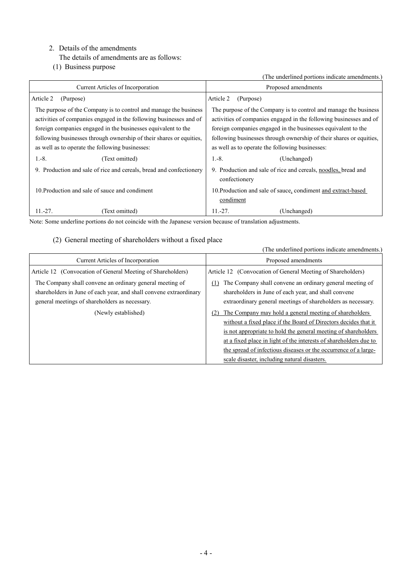# 2. Details of the amendments

- The details of amendments are as follows:
- (1) Business purpose

(The underlined portions indicate amendments.)

| Current Articles of Incorporation                                   | Proposed amendments                                                             |  |  |  |  |
|---------------------------------------------------------------------|---------------------------------------------------------------------------------|--|--|--|--|
| Article 2<br>(Purpose)                                              | Article 2<br>(Purpose)                                                          |  |  |  |  |
| The purpose of the Company is to control and manage the business    | The purpose of the Company is to control and manage the business                |  |  |  |  |
| activities of companies engaged in the following businesses and of  | activities of companies engaged in the following businesses and of              |  |  |  |  |
| foreign companies engaged in the businesses equivalent to the       | foreign companies engaged in the businesses equivalent to the                   |  |  |  |  |
| following businesses through ownership of their shares or equities, | following businesses through ownership of their shares or equities,             |  |  |  |  |
| as well as to operate the following businesses:                     | as well as to operate the following businesses:                                 |  |  |  |  |
| $1.-8.$<br>(Text omitted)                                           | $1.-8.$<br>(Unchanged)                                                          |  |  |  |  |
| 9. Production and sale of rice and cereals, bread and confectionery | 9. Production and sale of rice and cereals, noodles, bread and<br>confectionery |  |  |  |  |
| 10. Production and sale of sauce and condiment                      | 10. Production and sale of sauce, condiment and extract-based<br>condiment      |  |  |  |  |
| $11.-27.$<br>(Text omitted)                                         | $11.-27.$<br>(Unchanged)                                                        |  |  |  |  |

Note: Some underline portions do not coincide with the Japanese version because of translation adjustments.

# (2) General meeting of shareholders without a fixed place

|                                                                                                                                                                                  | (The underlined portions indicate amendments.)                                                                                                                                                                                                                                                                                                                                             |
|----------------------------------------------------------------------------------------------------------------------------------------------------------------------------------|--------------------------------------------------------------------------------------------------------------------------------------------------------------------------------------------------------------------------------------------------------------------------------------------------------------------------------------------------------------------------------------------|
| Current Articles of Incorporation                                                                                                                                                | Proposed amendments                                                                                                                                                                                                                                                                                                                                                                        |
| Article 12 (Convocation of General Meeting of Shareholders)                                                                                                                      | Article 12 (Convocation of General Meeting of Shareholders)                                                                                                                                                                                                                                                                                                                                |
| The Company shall convene an ordinary general meeting of<br>shareholders in June of each year, and shall convene extraordinary<br>general meetings of shareholders as necessary. | The Company shall convene an ordinary general meeting of<br>(1)<br>shareholders in June of each year, and shall convene<br>extraordinary general meetings of shareholders as necessary.                                                                                                                                                                                                    |
| (Newly established)                                                                                                                                                              | The Company may hold a general meeting of shareholders<br>(2)<br>without a fixed place if the Board of Directors decides that it<br>is not appropriate to hold the general meeting of shareholders<br>at a fixed place in light of the interests of shareholders due to<br>the spread of infectious diseases or the occurrence of a large-<br>scale disaster, including natural disasters. |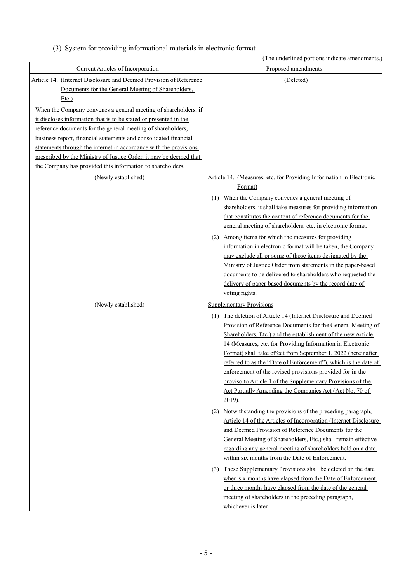|  |  |  |  | (3) System for providing informational materials in electronic format |  |
|--|--|--|--|-----------------------------------------------------------------------|--|
|  |  |  |  |                                                                       |  |

|                                                                                                                                                                                                                                                                                                                                                                                                                                                                                                                                                          | (The underlined portions indicate amendments.)                                                                                                                                                                                                                                                                                                                                                                                                                                                                                                                                                                                                           |
|----------------------------------------------------------------------------------------------------------------------------------------------------------------------------------------------------------------------------------------------------------------------------------------------------------------------------------------------------------------------------------------------------------------------------------------------------------------------------------------------------------------------------------------------------------|----------------------------------------------------------------------------------------------------------------------------------------------------------------------------------------------------------------------------------------------------------------------------------------------------------------------------------------------------------------------------------------------------------------------------------------------------------------------------------------------------------------------------------------------------------------------------------------------------------------------------------------------------------|
| Current Articles of Incorporation                                                                                                                                                                                                                                                                                                                                                                                                                                                                                                                        | Proposed amendments                                                                                                                                                                                                                                                                                                                                                                                                                                                                                                                                                                                                                                      |
| Article 14. (Internet Disclosure and Deemed Provision of Reference<br>Documents for the General Meeting of Shareholders,<br>Etc.)<br>When the Company convenes a general meeting of shareholders, if<br>it discloses information that is to be stated or presented in the<br>reference documents for the general meeting of shareholders,<br>business report, financial statements and consolidated financial<br>statements through the internet in accordance with the provisions<br>prescribed by the Ministry of Justice Order, it may be deemed that | (Deleted)                                                                                                                                                                                                                                                                                                                                                                                                                                                                                                                                                                                                                                                |
| the Company has provided this information to shareholders.                                                                                                                                                                                                                                                                                                                                                                                                                                                                                               |                                                                                                                                                                                                                                                                                                                                                                                                                                                                                                                                                                                                                                                          |
| (Newly established)                                                                                                                                                                                                                                                                                                                                                                                                                                                                                                                                      | Article 14. (Measures, etc. for Providing Information in Electronic<br>Format)<br>When the Company convenes a general meeting of<br>(1)<br>shareholders, it shall take measures for providing information                                                                                                                                                                                                                                                                                                                                                                                                                                                |
|                                                                                                                                                                                                                                                                                                                                                                                                                                                                                                                                                          | that constitutes the content of reference documents for the<br>general meeting of shareholders, etc. in electronic format.<br>(2) Among items for which the measures for providing                                                                                                                                                                                                                                                                                                                                                                                                                                                                       |
|                                                                                                                                                                                                                                                                                                                                                                                                                                                                                                                                                          | information in electronic format will be taken, the Company<br>may exclude all or some of those items designated by the<br>Ministry of Justice Order from statements in the paper-based<br>documents to be delivered to shareholders who requested the<br>delivery of paper-based documents by the record date of<br>voting rights.                                                                                                                                                                                                                                                                                                                      |
| (Newly established)                                                                                                                                                                                                                                                                                                                                                                                                                                                                                                                                      | <b>Supplementary Provisions</b>                                                                                                                                                                                                                                                                                                                                                                                                                                                                                                                                                                                                                          |
|                                                                                                                                                                                                                                                                                                                                                                                                                                                                                                                                                          | (1) The deletion of Article 14 (Internet Disclosure and Deemed<br>Provision of Reference Documents for the General Meeting of<br>Shareholders, Etc.) and the establishment of the new Article<br>14 (Measures, etc. for Providing Information in Electronic<br>Format) shall take effect from September 1, 2022 (hereinafter<br>referred to as the "Date of Enforcement"), which is the date of<br>enforcement of the revised provisions provided for in the<br>proviso to Article 1 of the Supplementary Provisions of the<br>Act Partially Amending the Companies Act (Act No. 70 of<br>$2019$ ).                                                      |
|                                                                                                                                                                                                                                                                                                                                                                                                                                                                                                                                                          | (2) Notwithstanding the provisions of the preceding paragraph,<br>Article 14 of the Articles of Incorporation (Internet Disclosure<br>and Deemed Provision of Reference Documents for the<br>General Meeting of Shareholders, Etc.) shall remain effective<br>regarding any general meeting of shareholders held on a date<br>within six months from the Date of Enforcement.<br>(3) These Supplementary Provisions shall be deleted on the date<br>when six months have elapsed from the Date of Enforcement<br>or three months have elapsed from the date of the general<br>meeting of shareholders in the preceding paragraph,<br>whichever is later. |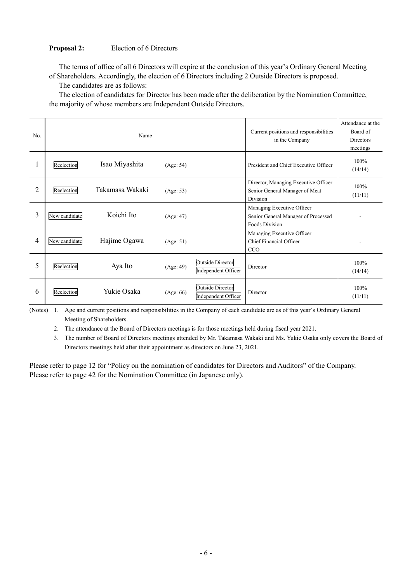### **Proposal 2:** Election of 6 Directors

The terms of office of all 6 Directors will expire at the conclusion of this year's Ordinary General Meeting of Shareholders. Accordingly, the election of 6 Directors including 2 Outside Directors is proposed.

The candidates are as follows:

The election of candidates for Director has been made after the deliberation by the Nomination Committee, the majority of whose members are Independent Outside Directors.

| No. |               | Name            | Current positions and responsibilities<br>in the Company | Attendance at the<br>Board of<br><b>Directors</b><br>meetings |                                                                                     |                 |
|-----|---------------|-----------------|----------------------------------------------------------|---------------------------------------------------------------|-------------------------------------------------------------------------------------|-----------------|
|     | Reelection    | Isao Miyashita  | (Age: 54)                                                |                                                               | President and Chief Executive Officer                                               | 100%<br>(14/14) |
| 2   | Reelection    | Takamasa Wakaki | (Age: 53)                                                |                                                               | Director, Managing Executive Officer<br>Senior General Manager of Meat<br>Division  | 100%<br>(11/11) |
| 3   | New candidate | Koichi Ito      | (Age: 47)                                                |                                                               | Managing Executive Officer<br>Senior General Manager of Processed<br>Foods Division |                 |
| 4   | New candidate | Hajime Ogawa    | (Age: 51)                                                |                                                               | Managing Executive Officer<br>Chief Financial Officer<br>CCO                        |                 |
| 5   | Reelection    | Aya Ito         | (Age: 49)                                                | Outside Director<br>Independent Officer                       | Director                                                                            | 100%<br>(14/14) |
| 6   | Reelection    | Yukie Osaka     | (Age: 66)                                                | <b>Outside Director</b><br>Independent Officer                | Director                                                                            | 100%<br>(11/11) |

(Notes) 1. Age and current positions and responsibilities in the Company of each candidate are as of this year's Ordinary General Meeting of Shareholders.

2. The attendance at the Board of Directors meetings is for those meetings held during fiscal year 2021.

3. The number of Board of Directors meetings attended by Mr. Takamasa Wakaki and Ms. Yukie Osaka only covers the Board of Directors meetings held after their appointment as directors on June 23, 2021.

Please refer to page 12 for "Policy on the nomination of candidates for Directors and Auditors" of the Company. Please refer to page 42 for the Nomination Committee (in Japanese only).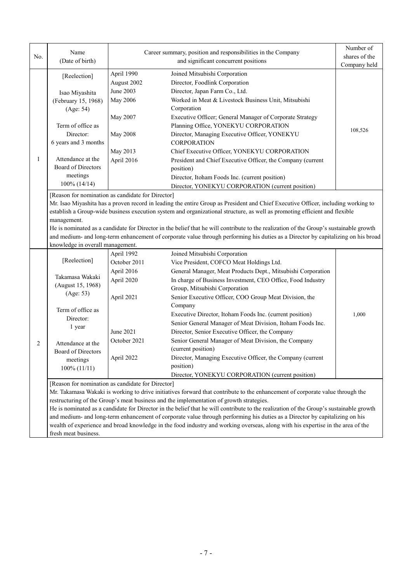| No. | Name<br>(Date of birth)                           |                           | Career summary, position and responsibilities in the Company<br>and significant concurrent positions                                                                                                                              | Number of<br>shares of the<br>Company held |
|-----|---------------------------------------------------|---------------------------|-----------------------------------------------------------------------------------------------------------------------------------------------------------------------------------------------------------------------------------|--------------------------------------------|
|     | [Reelection]                                      | April 1990<br>August 2002 | Joined Mitsubishi Corporation<br>Director, Foodlink Corporation                                                                                                                                                                   |                                            |
|     | Isao Miyashita                                    | June 2003                 | Director, Japan Farm Co., Ltd.                                                                                                                                                                                                    |                                            |
|     | (February 15, 1968)                               | May 2006                  | Worked in Meat & Livestock Business Unit, Mitsubishi                                                                                                                                                                              |                                            |
|     | (Age: 54)                                         |                           | Corporation                                                                                                                                                                                                                       |                                            |
|     |                                                   | May 2007                  | Executive Officer; General Manager of Corporate Strategy                                                                                                                                                                          |                                            |
|     | Term of office as                                 |                           | Planning Office, YONEKYU CORPORATION                                                                                                                                                                                              |                                            |
|     | Director:                                         | <b>May 2008</b>           | Director, Managing Executive Officer, YONEKYU                                                                                                                                                                                     | 108,526                                    |
|     | 6 years and 3 months                              |                           | <b>CORPORATION</b>                                                                                                                                                                                                                |                                            |
| 1   |                                                   | May 2013                  | Chief Executive Officer, YONEKYU CORPORATION                                                                                                                                                                                      |                                            |
|     | Attendance at the                                 | April 2016                | President and Chief Executive Officer, the Company (current                                                                                                                                                                       |                                            |
|     | <b>Board of Directors</b>                         |                           | position)                                                                                                                                                                                                                         |                                            |
|     | meetings                                          |                           | Director, Itoham Foods Inc. (current position)                                                                                                                                                                                    |                                            |
|     | $100\%$ (14/14)                                   |                           | Director, YONEKYU CORPORATION (current position)                                                                                                                                                                                  |                                            |
|     | [Reason for nomination as candidate for Director] |                           |                                                                                                                                                                                                                                   |                                            |
|     |                                                   |                           | Mr. Isao Miyashita has a proven record in leading the entire Group as President and Chief Executive Officer, including working to                                                                                                 |                                            |
|     |                                                   |                           | establish a Group-wide business execution system and organizational structure, as well as promoting efficient and flexible                                                                                                        |                                            |
|     | management.                                       |                           |                                                                                                                                                                                                                                   |                                            |
|     |                                                   |                           | He is nominated as a candidate for Director in the belief that he will contribute to the realization of the Group's sustainable growth                                                                                            |                                            |
|     |                                                   |                           | and medium- and long-term enhancement of corporate value through performing his duties as a Director by capitalizing on his broad                                                                                                 |                                            |
|     | knowledge in overall management.                  |                           |                                                                                                                                                                                                                                   |                                            |
|     |                                                   | April 1992                | Joined Mitsubishi Corporation                                                                                                                                                                                                     |                                            |
|     | [Reelection]                                      | October 2011              | Vice President, COFCO Meat Holdings Ltd.                                                                                                                                                                                          |                                            |
|     | Takamasa Wakaki                                   | April 2016                | General Manager, Meat Products Dept., Mitsubishi Corporation                                                                                                                                                                      |                                            |
|     | (August 15, 1968)                                 | April 2020                | In charge of Business Investment, CEO Office, Food Industry                                                                                                                                                                       |                                            |
|     | (Age: 53)                                         |                           | Group, Mitsubishi Corporation                                                                                                                                                                                                     |                                            |
|     |                                                   | April 2021                | Senior Executive Officer, COO Group Meat Division, the                                                                                                                                                                            |                                            |
|     | Term of office as                                 |                           | Company                                                                                                                                                                                                                           |                                            |
|     | Director:                                         |                           | Executive Director, Itoham Foods Inc. (current position)                                                                                                                                                                          | 1,000                                      |
|     | 1 year                                            |                           | Senior General Manager of Meat Division, Itoham Foods Inc.                                                                                                                                                                        |                                            |
|     |                                                   | June 2021                 | Director, Senior Executive Officer, the Company                                                                                                                                                                                   |                                            |
| 2   | Attendance at the                                 | October 2021              | Senior General Manager of Meat Division, the Company                                                                                                                                                                              |                                            |
|     | Board of Directors                                |                           | (current position)                                                                                                                                                                                                                |                                            |
|     | meetings                                          | April 2022                | Director, Managing Executive Officer, the Company (current                                                                                                                                                                        |                                            |
|     | 100% (11/11)                                      |                           | position)                                                                                                                                                                                                                         |                                            |
|     |                                                   |                           | Director, YONEKYU CORPORATION (current position)                                                                                                                                                                                  |                                            |
|     | [Reason for nomination as candidate for Director] |                           |                                                                                                                                                                                                                                   |                                            |
|     |                                                   |                           | Mr. Takamasa Wakaki is working to drive initiatives forward that contribute to the enhancement of corporate value through the                                                                                                     |                                            |
|     |                                                   |                           | restructuring of the Group's meat business and the implementation of growth strategies.<br>He is nominated as a candidate for Director in the belief that he will contribute to the realization of the Group's sustainable growth |                                            |
|     |                                                   |                           | and medium- and long-term enhancement of corporate value through performing his duties as a Director by capitalizing on his                                                                                                       |                                            |
|     |                                                   |                           | wealth of experience and broad knowledge in the food industry and working overseas, along with his expertise in the area of the                                                                                                   |                                            |
|     | fresh meat business.                              |                           |                                                                                                                                                                                                                                   |                                            |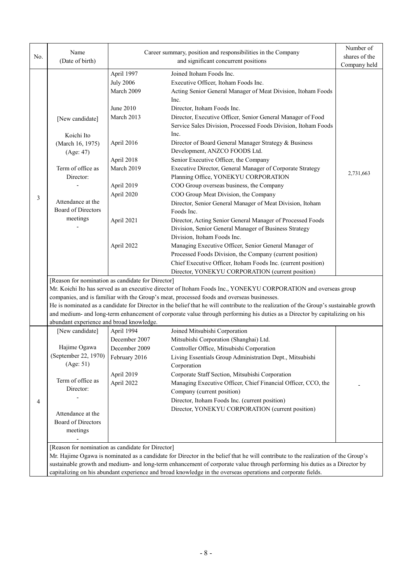| No. | Name<br>(Date of birth)                                                                               |                  | Career summary, position and responsibilities in the Company<br>and significant concurrent positions                                   | Number of<br>shares of the<br>Company held |  |  |  |  |  |  |
|-----|-------------------------------------------------------------------------------------------------------|------------------|----------------------------------------------------------------------------------------------------------------------------------------|--------------------------------------------|--|--|--|--|--|--|
|     |                                                                                                       | April 1997       | Joined Itoham Foods Inc.                                                                                                               |                                            |  |  |  |  |  |  |
|     |                                                                                                       | <b>July 2006</b> | Executive Officer, Itoham Foods Inc.                                                                                                   |                                            |  |  |  |  |  |  |
|     |                                                                                                       | March 2009       | Acting Senior General Manager of Meat Division, Itoham Foods                                                                           |                                            |  |  |  |  |  |  |
|     |                                                                                                       |                  | Inc.                                                                                                                                   |                                            |  |  |  |  |  |  |
|     |                                                                                                       | June 2010        | Director, Itoham Foods Inc.                                                                                                            |                                            |  |  |  |  |  |  |
|     | [New candidate]                                                                                       | March 2013       |                                                                                                                                        |                                            |  |  |  |  |  |  |
|     | Koichi Ito                                                                                            |                  | Inc.<br>Director of Board General Manager Strategy & Business                                                                          |                                            |  |  |  |  |  |  |
|     | (March 16, 1975)<br>(Age: 47)                                                                         | April 2016       |                                                                                                                                        |                                            |  |  |  |  |  |  |
|     |                                                                                                       | April 2018       | Senior Executive Officer, the Company                                                                                                  |                                            |  |  |  |  |  |  |
|     | Term of office as<br>Director:                                                                        | March 2019       | Executive Director, General Manager of Corporate Strategy<br>Planning Office, YONEKYU CORPORATION                                      | 2,731,663                                  |  |  |  |  |  |  |
|     |                                                                                                       | April 2019       | COO Group overseas business, the Company                                                                                               |                                            |  |  |  |  |  |  |
| 3   |                                                                                                       | April 2020       | COO Group Meat Division, the Company                                                                                                   |                                            |  |  |  |  |  |  |
|     | Attendance at the                                                                                     |                  | Director, Senior General Manager of Meat Division, Itoham                                                                              |                                            |  |  |  |  |  |  |
|     | Board of Directors                                                                                    |                  | Foods Inc.                                                                                                                             |                                            |  |  |  |  |  |  |
|     | meetings                                                                                              | April 2021       | Director, Acting Senior General Manager of Processed Foods                                                                             |                                            |  |  |  |  |  |  |
|     |                                                                                                       |                  | Division, Senior General Manager of Business Strategy                                                                                  |                                            |  |  |  |  |  |  |
|     |                                                                                                       |                  | Division, Itoham Foods Inc.                                                                                                            |                                            |  |  |  |  |  |  |
|     |                                                                                                       | April 2022       | Managing Executive Officer, Senior General Manager of                                                                                  |                                            |  |  |  |  |  |  |
|     |                                                                                                       |                  | Processed Foods Division, the Company (current position)                                                                               |                                            |  |  |  |  |  |  |
|     |                                                                                                       |                  | Chief Executive Officer, Itoham Foods Inc. (current position)                                                                          |                                            |  |  |  |  |  |  |
|     | Director, YONEKYU CORPORATION (current position)<br>[Reason for nomination as candidate for Director] |                  |                                                                                                                                        |                                            |  |  |  |  |  |  |
|     |                                                                                                       |                  | Mr. Koichi Ito has served as an executive director of Itoham Foods Inc., YONEKYU CORPORATION and overseas group                        |                                            |  |  |  |  |  |  |
|     |                                                                                                       |                  | companies, and is familiar with the Group's meat, processed foods and overseas businesses.                                             |                                            |  |  |  |  |  |  |
|     |                                                                                                       |                  | He is nominated as a candidate for Director in the belief that he will contribute to the realization of the Group's sustainable growth |                                            |  |  |  |  |  |  |
|     |                                                                                                       |                  | and medium- and long-term enhancement of corporate value through performing his duties as a Director by capitalizing on his            |                                            |  |  |  |  |  |  |
|     | abundant experience and broad knowledge.                                                              |                  |                                                                                                                                        |                                            |  |  |  |  |  |  |
|     | [New candidate]                                                                                       | April 1994       | Joined Mitsubishi Corporation                                                                                                          |                                            |  |  |  |  |  |  |
|     |                                                                                                       | December 2007    | Mitsubishi Corporation (Shanghai) Ltd.                                                                                                 |                                            |  |  |  |  |  |  |
|     | Hajime Ogawa                                                                                          | December 2009    | Controller Office, Mitsubishi Corporation                                                                                              |                                            |  |  |  |  |  |  |
|     | (September 22, 1970)                                                                                  | February 2016    | Living Essentials Group Administration Dept., Mitsubishi                                                                               |                                            |  |  |  |  |  |  |
|     | (Age: 51)                                                                                             |                  | Corporation                                                                                                                            |                                            |  |  |  |  |  |  |
|     |                                                                                                       | April 2019       | Corporate Staff Section, Mitsubishi Corporation                                                                                        |                                            |  |  |  |  |  |  |
|     | Term of office as                                                                                     | April 2022       | Managing Executive Officer, Chief Financial Officer, CCO, the                                                                          |                                            |  |  |  |  |  |  |
|     | Director:                                                                                             |                  | Company (current position)                                                                                                             |                                            |  |  |  |  |  |  |
| 4   |                                                                                                       |                  | Director, Itoham Foods Inc. (current position)                                                                                         |                                            |  |  |  |  |  |  |
|     | Attendance at the                                                                                     |                  | Director, YONEKYU CORPORATION (current position)                                                                                       |                                            |  |  |  |  |  |  |
|     | Board of Directors                                                                                    |                  |                                                                                                                                        |                                            |  |  |  |  |  |  |
|     | meetings                                                                                              |                  |                                                                                                                                        |                                            |  |  |  |  |  |  |
|     |                                                                                                       |                  |                                                                                                                                        |                                            |  |  |  |  |  |  |
|     | [Reason for nomination as candidate for Director]                                                     |                  |                                                                                                                                        |                                            |  |  |  |  |  |  |
|     |                                                                                                       |                  | Mr. Hajime Ogawa is nominated as a candidate for Director in the belief that he will contribute to the realization of the Group's      |                                            |  |  |  |  |  |  |
|     |                                                                                                       |                  | sustainable growth and medium- and long-term enhancement of corporate value through performing his duties as a Director by             |                                            |  |  |  |  |  |  |
|     |                                                                                                       |                  | capitalizing on his abundant experience and broad knowledge in the overseas operations and corporate fields.                           |                                            |  |  |  |  |  |  |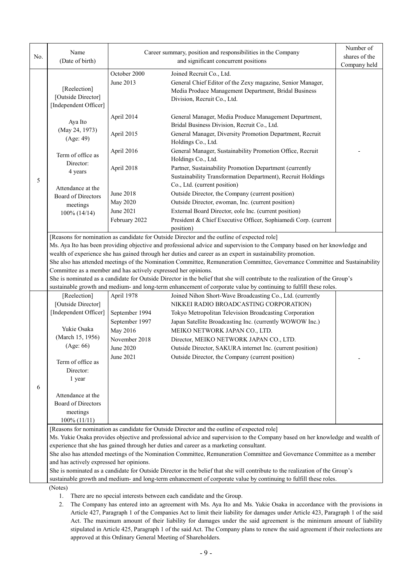| No. | Name<br>(Date of birth)                                        |                  | Career summary, position and responsibilities in the Company<br>and significant concurrent positions                           | Number of<br>shares of the |
|-----|----------------------------------------------------------------|------------------|--------------------------------------------------------------------------------------------------------------------------------|----------------------------|
|     |                                                                |                  |                                                                                                                                | Company held               |
|     |                                                                | October 2000     | Joined Recruit Co., Ltd.                                                                                                       |                            |
|     |                                                                | June 2013        | General Chief Editor of the Zexy magazine, Senior Manager,                                                                     |                            |
|     | [Reelection]                                                   |                  | Media Produce Management Department, Bridal Business                                                                           |                            |
|     | [Outside Director]                                             |                  | Division, Recruit Co., Ltd.                                                                                                    |                            |
|     | [Independent Officer]                                          |                  |                                                                                                                                |                            |
|     | Aya Ito                                                        | April 2014       | General Manager, Media Produce Management Department,                                                                          |                            |
|     |                                                                |                  | Bridal Business Division, Recruit Co., Ltd.                                                                                    |                            |
|     | (May 24, 1973)                                                 | April 2015       | General Manager, Diversity Promotion Department, Recruit                                                                       |                            |
|     | (Age: 49)                                                      |                  | Holdings Co., Ltd.                                                                                                             |                            |
|     |                                                                | April 2016       | General Manager, Sustainability Promotion Office, Recruit                                                                      |                            |
|     | Term of office as                                              |                  | Holdings Co., Ltd.                                                                                                             |                            |
|     | Director:                                                      | April 2018       | Partner, Sustainability Promotion Department (currently                                                                        |                            |
|     | 4 years                                                        |                  | Sustainability Transformation Department), Recruit Holdings                                                                    |                            |
| 5   |                                                                |                  | Co., Ltd. (current position)                                                                                                   |                            |
|     | Attendance at the                                              | <b>June 2018</b> | Outside Director, the Company (current position)                                                                               |                            |
|     | <b>Board of Directors</b>                                      |                  |                                                                                                                                |                            |
|     | meetings                                                       | May 2020         | Outside Director, ewoman, Inc. (current position)                                                                              |                            |
|     | 100% (14/14)                                                   | June 2021        | External Board Director, eole Inc. (current position)                                                                          |                            |
|     |                                                                | February 2022    | President & Chief Executive Officer, Sophiamedi Corp. (current                                                                 |                            |
|     |                                                                |                  | position)                                                                                                                      |                            |
|     |                                                                |                  | [Reasons for nomination as candidate for Outside Director and the outline of expected role]                                    |                            |
|     |                                                                |                  | Ms. Aya Ito has been providing objective and professional advice and supervision to the Company based on her knowledge and     |                            |
|     |                                                                |                  | wealth of experience she has gained through her duties and career as an expert in sustainability promotion.                    |                            |
|     |                                                                |                  | She also has attended meetings of the Nomination Committee, Remuneration Committee, Governance Committee and Sustainability    |                            |
|     | Committee as a member and has actively expressed her opinions. |                  |                                                                                                                                |                            |
|     |                                                                |                  | She is nominated as a candidate for Outside Director in the belief that she will contribute to the realization of the Group's  |                            |
|     |                                                                |                  | sustainable growth and medium- and long-term enhancement of corporate value by continuing to fulfill these roles.              |                            |
|     | [Reelection]                                                   | April 1978       | Joined Nihon Short-Wave Broadcasting Co., Ltd. (currently                                                                      |                            |
|     | [Outside Director]                                             |                  | NIKKEI RADIO BROADCASTING CORPORATION)                                                                                         |                            |
|     | [Independent Officer]                                          | September 1994   | Tokyo Metropolitan Television Broadcasting Corporation                                                                         |                            |
|     |                                                                | September 1997   | Japan Satellite Broadcasting Inc. (currently WOWOW Inc.)                                                                       |                            |
|     | Yukie Osaka                                                    | May 2016         | MEIKO NETWORK JAPAN CO., LTD.                                                                                                  |                            |
|     | (March 15, 1956)                                               | November 2018    | Director, MEIKO NETWORK JAPAN CO., LTD.                                                                                        |                            |
|     | (Age: 66)                                                      | June 2020        | Outside Director, SAKURA internet Inc. (current position)                                                                      |                            |
|     |                                                                | June 2021        | Outside Director, the Company (current position)                                                                               |                            |
|     | Term of office as                                              |                  |                                                                                                                                |                            |
|     | Director:                                                      |                  |                                                                                                                                |                            |
|     | 1 year                                                         |                  |                                                                                                                                |                            |
| 6   |                                                                |                  |                                                                                                                                |                            |
|     | Attendance at the                                              |                  |                                                                                                                                |                            |
|     | <b>Board of Directors</b>                                      |                  |                                                                                                                                |                            |
|     | meetings                                                       |                  |                                                                                                                                |                            |
|     | 100% (11/11)                                                   |                  |                                                                                                                                |                            |
|     |                                                                |                  | [Reasons for nomination as candidate for Outside Director and the outline of expected role]                                    |                            |
|     |                                                                |                  | Ms. Yukie Osaka provides objective and professional advice and supervision to the Company based on her knowledge and wealth of |                            |
|     |                                                                |                  | experience that she has gained through her duties and career as a marketing consultant.                                        |                            |
|     |                                                                |                  | She also has attended meetings of the Nomination Committee, Remuneration Committee and Governance Committee as a member        |                            |
|     | and has actively expressed her opinions.                       |                  |                                                                                                                                |                            |
|     |                                                                |                  | She is nominated as a candidate for Outside Director in the belief that she will contribute to the realization of the Group's  |                            |
|     |                                                                |                  | sustainable growth and medium- and long-term enhancement of corporate value by continuing to fulfill these roles.              |                            |
|     | (Notes)                                                        |                  |                                                                                                                                |                            |

- 1. There are no special interests between each candidate and the Group.
- 2. The Company has entered into an agreement with Ms. Aya Ito and Ms. Yukie Osaka in accordance with the provisions in Article 427, Paragraph 1 of the Companies Act to limit their liability for damages under Article 423, Paragraph 1 of the said Act. The maximum amount of their liability for damages under the said agreement is the minimum amount of liability stipulated in Article 425, Paragraph 1 of the said Act. The Company plans to renew the said agreement if their reelections are approved at this Ordinary General Meeting of Shareholders.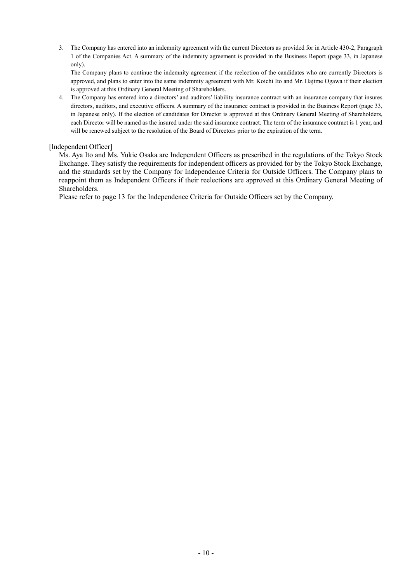3. The Company has entered into an indemnity agreement with the current Directors as provided for in Article 430-2, Paragraph 1 of the Companies Act. A summary of the indemnity agreement is provided in the Business Report (page 33, in Japanese only).

The Company plans to continue the indemnity agreement if the reelection of the candidates who are currently Directors is approved, and plans to enter into the same indemnity agreement with Mr. Koichi Ito and Mr. Hajime Ogawa if their election is approved at this Ordinary General Meeting of Shareholders.

4. The Company has entered into a directors' and auditors' liability insurance contract with an insurance company that insures directors, auditors, and executive officers. A summary of the insurance contract is provided in the Business Report (page 33, in Japanese only). If the election of candidates for Director is approved at this Ordinary General Meeting of Shareholders, each Director will be named as the insured under the said insurance contract. The term of the insurance contract is 1 year, and will be renewed subject to the resolution of the Board of Directors prior to the expiration of the term.

### [Independent Officer]

Ms. Aya Ito and Ms. Yukie Osaka are Independent Officers as prescribed in the regulations of the Tokyo Stock Exchange. They satisfy the requirements for independent officers as provided for by the Tokyo Stock Exchange, and the standards set by the Company for Independence Criteria for Outside Officers. The Company plans to reappoint them as Independent Officers if their reelections are approved at this Ordinary General Meeting of Shareholders.

Please refer to page 13 for the Independence Criteria for Outside Officers set by the Company.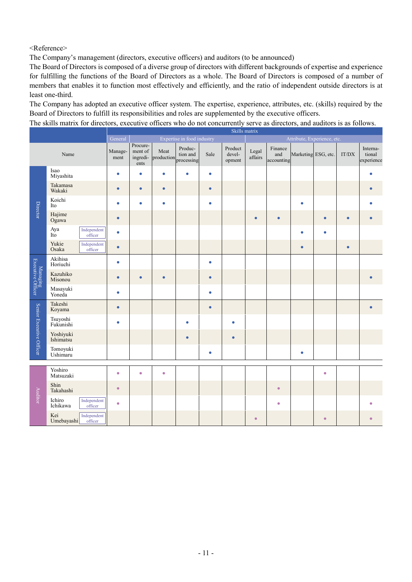<Reference>

The Company's management (directors, executive officers) and auditors (to be announced)

The Board of Directors is composed of a diverse group of directors with different backgrounds of expertise and experience for fulfilling the functions of the Board of Directors as a whole. The Board of Directors is composed of a number of members that enables it to function most effectively and efficiently, and the ratio of independent outside directors is at least one-third.

The Company has adopted an executive officer system. The expertise, experience, attributes, etc. (skills) required by the Board of Directors to fulfill its responsibilities and roles are supplemented by the executive officers.

The skills matrix for directors, executive officers who do not concurrently serve as directors, and auditors is as follows.

|                               |                        |                        | Skills matrix                                                        |                                         |                    |                                   |           |                             |                  |                              |                     |           |           |                                  |
|-------------------------------|------------------------|------------------------|----------------------------------------------------------------------|-----------------------------------------|--------------------|-----------------------------------|-----------|-----------------------------|------------------|------------------------------|---------------------|-----------|-----------|----------------------------------|
|                               |                        |                        | Expertise in food industry<br>Attribute, Experience, etc.<br>General |                                         |                    |                                   |           |                             |                  |                              |                     |           |           |                                  |
|                               | Name                   |                        | Manage-<br>ment                                                      | Procure-<br>ment of<br>ingredi-<br>ents | Meat<br>production | Produc-<br>tion and<br>processing | Sale      | Product<br>devel-<br>opment | Legal<br>affairs | Finance<br>and<br>accounting | Marketing ESG, etc. |           | IT/DX     | Interna-<br>tional<br>experience |
|                               | Isao<br>Miyashita      |                        | $\bullet$                                                            | $\bullet$                               | ٠                  | ۰                                 | $\bullet$ |                             |                  |                              |                     |           |           |                                  |
|                               | Takamasa<br>Wakaki     |                        | $\bullet$                                                            | $\bullet$                               | $\bullet$          |                                   | $\bullet$ |                             |                  |                              |                     |           |           |                                  |
| <b>Director</b>               | Koichi<br>Ito          |                        | $\bullet$                                                            | $\bullet$                               | $\bullet$          |                                   | ٠         |                             |                  |                              | $\bullet$           |           |           |                                  |
|                               | Hajime<br>Ogawa        |                        | $\bullet$                                                            |                                         |                    |                                   |           |                             | $\bullet$        | ٠                            |                     | ō         | ٠         |                                  |
|                               | Aya<br>Ito             | Independent<br>officer | $\bullet$                                                            |                                         |                    |                                   |           |                             |                  |                              | $\bullet$           | ۵         |           |                                  |
|                               | Yukie<br>Osaka         | Independent<br>officer | $\bullet$                                                            |                                         |                    |                                   |           |                             |                  |                              | $\bullet$           |           | $\bullet$ |                                  |
| Managing<br>Executive Officer | Akihisa<br>Horiuchi    |                        | $\bullet$                                                            |                                         |                    |                                   | ٠         |                             |                  |                              |                     |           |           |                                  |
|                               | Kazuhiko<br>Misonou    |                        | $\bullet$                                                            | $\bullet$                               | $\bullet$          |                                   | ٠         |                             |                  |                              |                     |           |           |                                  |
|                               | Masayuki<br>Yoneda     |                        | $\bullet$                                                            |                                         |                    |                                   | ۰         |                             |                  |                              |                     |           |           |                                  |
|                               | Takeshi<br>Koyama      |                        | $\bullet$                                                            |                                         |                    |                                   | ٠         |                             |                  |                              |                     |           |           |                                  |
| Senior Executive Officer      | Tsuyoshi<br>Fukunishi  |                        | $\bullet$                                                            |                                         |                    | $\bullet$                         |           | ٠                           |                  |                              |                     |           |           |                                  |
|                               | Yoshiyuki<br>Ishimatsu |                        |                                                                      |                                         |                    | $\bullet$                         |           | ٠                           |                  |                              |                     |           |           |                                  |
|                               | Tomoyuki<br>Ushimaru   |                        |                                                                      |                                         |                    |                                   | ٠         |                             |                  |                              | $\bullet$           |           |           |                                  |
|                               |                        |                        |                                                                      |                                         |                    |                                   |           |                             |                  |                              |                     |           |           |                                  |
|                               | Yoshiro<br>Matsuzaki   |                        | $\bullet$                                                            | $\bullet$                               | $\bullet$          |                                   |           |                             |                  |                              |                     | ۰         |           |                                  |
| <b>Auditor</b>                | Shin<br>Takahashi      |                        | $\bullet$                                                            |                                         |                    |                                   |           |                             |                  | $\bullet$                    |                     |           |           |                                  |
|                               | Ichiro<br>Ichikawa     | Independent<br>officer | $\bullet$                                                            |                                         |                    |                                   |           |                             |                  | $\bullet$                    |                     |           |           |                                  |
|                               | Kei<br>Umebayashi      | Independent<br>officer |                                                                      |                                         |                    |                                   |           |                             | $\bullet$        |                              |                     | $\bullet$ |           |                                  |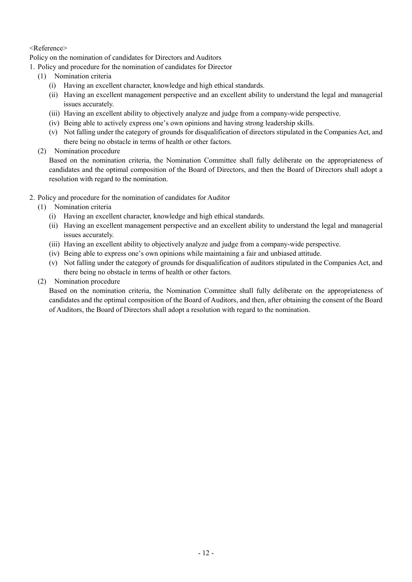# <Reference>

Policy on the nomination of candidates for Directors and Auditors

1. Policy and procedure for the nomination of candidates for Director

- (1) Nomination criteria
	- (i) Having an excellent character, knowledge and high ethical standards.
	- (ii) Having an excellent management perspective and an excellent ability to understand the legal and managerial issues accurately.
	- (iii) Having an excellent ability to objectively analyze and judge from a company-wide perspective.
	- (iv) Being able to actively express one's own opinions and having strong leadership skills.
	- (v) Not falling under the category of grounds for disqualification of directors stipulated in the Companies Act, and there being no obstacle in terms of health or other factors.
- (2) Nomination procedure

Based on the nomination criteria, the Nomination Committee shall fully deliberate on the appropriateness of candidates and the optimal composition of the Board of Directors, and then the Board of Directors shall adopt a resolution with regard to the nomination.

- 2. Policy and procedure for the nomination of candidates for Auditor
	- (1) Nomination criteria
		- (i) Having an excellent character, knowledge and high ethical standards.
		- (ii) Having an excellent management perspective and an excellent ability to understand the legal and managerial issues accurately.
		- (iii) Having an excellent ability to objectively analyze and judge from a company-wide perspective.
		- (iv) Being able to express one's own opinions while maintaining a fair and unbiased attitude.
		- (v) Not falling under the category of grounds for disqualification of auditors stipulated in the Companies Act, and there being no obstacle in terms of health or other factors.
	- (2) Nomination procedure

Based on the nomination criteria, the Nomination Committee shall fully deliberate on the appropriateness of candidates and the optimal composition of the Board of Auditors, and then, after obtaining the consent of the Board of Auditors, the Board of Directors shall adopt a resolution with regard to the nomination.